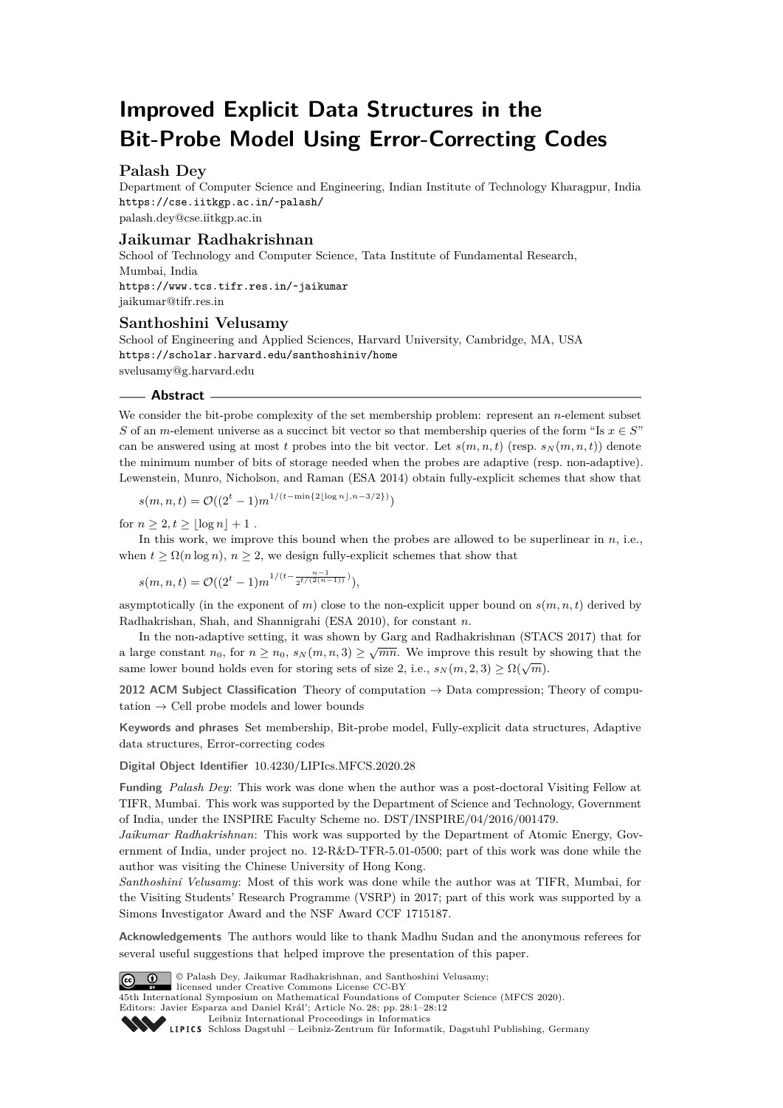# **Improved Explicit Data Structures in the Bit-Probe Model Using Error-Correcting Codes**

# **Palash Dey**

Department of Computer Science and Engineering, Indian Institute of Technology Kharagpur, India <https://cse.iitkgp.ac.in/~palash/> [palash.dey@cse.iitkgp.ac.in](mailto:palash.dey@cse.iitkgp.ac.in)

# **Jaikumar Radhakrishnan**

School of Technology and Computer Science, Tata Institute of Fundamental Research, Mumbai, India <https://www.tcs.tifr.res.in/~jaikumar> [jaikumar@tifr.res.in](mailto:jaikumar@tifr.res.in)

## **Santhoshini Velusamy**

School of Engineering and Applied Sciences, Harvard University, Cambridge, MA, USA <https://scholar.harvard.edu/santhoshiniv/home> [svelusamy@g.harvard.edu](mailto:svelusamy@g.harvard.edu)

# **Abstract**

We consider the bit-probe complexity of the set membership problem: represent an *n*-element subset *S* of an *m*-element universe as a succinct bit vector so that membership queries of the form "Is  $x \in S$ " can be answered using at most *t* probes into the bit vector. Let  $s(m, n, t)$  (resp.  $s_N(m, n, t)$ ) denote the minimum number of bits of storage needed when the probes are adaptive (resp. non-adaptive). Lewenstein, Munro, Nicholson, and Raman (ESA 2014) obtain fully-explicit schemes that show that

$$
s(m, n, t) = \mathcal{O}((2^t - 1)m^{1/(t - \min\{2\lfloor \log n \rfloor, n - 3/2\})})
$$

for  $n \geq 2, t \geq |\log n| + 1$ .

In this work, we improve this bound when the probes are allowed to be superlinear in *n*, i.e., when  $t \geq \Omega(n \log n)$ ,  $n \geq 2$ , we design fully-explicit schemes that show that

 $s(m, n, t) = \mathcal{O}((2^t - 1)m^{1/(t - \frac{n-1}{2^{t/(2(n-1))}})}),$ 

asymptotically (in the exponent of  $m$ ) close to the non-explicit upper bound on  $s(m, n, t)$  derived by Radhakrishan, Shah, and Shannigrahi (ESA 2010), for constant *n*.

In the non-adaptive setting, it was shown by Garg and Radhakrishnan (STACS 2017) that for a large constant  $n_0$ , for  $n \geq n_0$ ,  $s_N(m, n, 3) \geq \sqrt{mn}$ . We improve this result by showing that the same lower bound holds even for storing sets of size 2, i.e.,  $s_N(m, 2, 3) \geq \Omega(\sqrt{m})$ .

**2012 ACM Subject Classification** Theory of computation → Data compression; Theory of computation  $\rightarrow$  Cell probe models and lower bounds

**Keywords and phrases** Set membership, Bit-probe model, Fully-explicit data structures, Adaptive data structures, Error-correcting codes

**Digital Object Identifier** [10.4230/LIPIcs.MFCS.2020.28](https://doi.org/10.4230/LIPIcs.MFCS.2020.28)

**Funding** *Palash Dey*: This work was done when the author was a post-doctoral Visiting Fellow at TIFR, Mumbai. This work was supported by the Department of Science and Technology, Government of India, under the INSPIRE Faculty Scheme no. DST/INSPIRE/04/2016/001479.

*Jaikumar Radhakrishnan*: This work was supported by the Department of Atomic Energy, Government of India, under project no. 12-R&D-TFR-5.01-0500; part of this work was done while the author was visiting the Chinese University of Hong Kong.

*Santhoshini Velusamy*: Most of this work was done while the author was at TIFR, Mumbai, for the Visiting Students' Research Programme (VSRP) in 2017; part of this work was supported by a Simons Investigator Award and the NSF Award CCF 1715187.

**Acknowledgements** The authors would like to thank Madhu Sudan and the anonymous referees for several useful suggestions that helped improve the presentation of this paper.



© Palash Dey, Jaikumar Radhakrishnan, and Santhoshini Velusamy;

licensed under Creative Commons License CC-BY 45th International Symposium on Mathematical Foundations of Computer Science (MFCS 2020). Editors: Javier Esparza and Daniel Král'; Article No. 28; pp. 28:1–28[:12](#page-11-0)

[Leibniz International Proceedings in Informatics](https://www.dagstuhl.de/lipics/)



Leibniz international Floretungs in missimosische Publishing, Germany<br>LIPICS [Schloss Dagstuhl – Leibniz-Zentrum für Informatik, Dagstuhl Publishing, Germany](https://www.dagstuhl.de)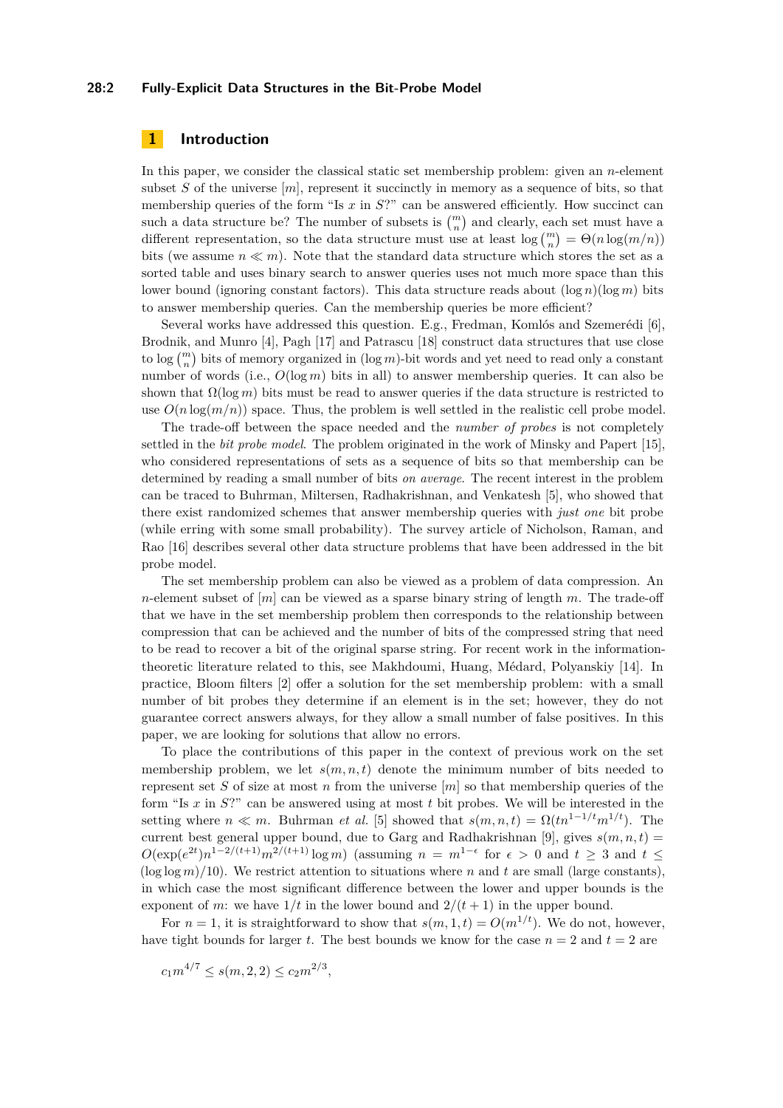## **28:2 Fully-Explicit Data Structures in the Bit-Probe Model**

# **1 Introduction**

In this paper, we consider the classical static set membership problem: given an *n*-element subset  $S$  of the universe  $[m]$ , represent it succinctly in memory as a sequence of bits, so that membership queries of the form "Is  $x$  in  $S$ ?" can be answered efficiently. How succinct can such a data structure be? The number of subsets is  $\binom{m}{n}$  and clearly, each set must have a different representation, so the data structure must use at least  $\log {m \choose n} = \Theta(n \log(m/n))$ bits (we assume  $n \ll m$ ). Note that the standard data structure which stores the set as a sorted table and uses binary search to answer queries uses not much more space than this lower bound (ignoring constant factors). This data structure reads about  $(\log n)(\log m)$  bits to answer membership queries. Can the membership queries be more efficient?

Several works have addressed this question. E.g., Fredman, Komlós and Szemerédi [\[6\]](#page-10-0), Brodnik, and Munro [\[4\]](#page-10-1), Pagh [\[17\]](#page-11-1) and Patrascu [\[18\]](#page-11-2) construct data structures that use close to  $\log {m \choose n}$  bits of memory organized in  $(\log m)$ -bit words and yet need to read only a constant number of words (i.e.,  $O(\log m)$  bits in all) to answer membership queries. It can also be shown that  $\Omega(\log m)$  bits must be read to answer queries if the data structure is restricted to use  $O(n \log(m/n))$  space. Thus, the problem is well settled in the realistic cell probe model.

The trade-off between the space needed and the *number of probes* is not completely settled in the *bit probe model*. The problem originated in the work of Minsky and Papert [\[15\]](#page-11-3), who considered representations of sets as a sequence of bits so that membership can be determined by reading a small number of bits *on average*. The recent interest in the problem can be traced to Buhrman, Miltersen, Radhakrishnan, and Venkatesh [\[5\]](#page-10-2), who showed that there exist randomized schemes that answer membership queries with *just one* bit probe (while erring with some small probability). The survey article of Nicholson, Raman, and Rao [\[16\]](#page-11-4) describes several other data structure problems that have been addressed in the bit probe model.

The set membership problem can also be viewed as a problem of data compression. An *n*-element subset of [*m*] can be viewed as a sparse binary string of length *m*. The trade-off that we have in the set membership problem then corresponds to the relationship between compression that can be achieved and the number of bits of the compressed string that need to be read to recover a bit of the original sparse string. For recent work in the informationtheoretic literature related to this, see Makhdoumi, Huang, Médard, Polyanskiy [\[14\]](#page-11-5). In practice, Bloom filters [\[2\]](#page-10-3) offer a solution for the set membership problem: with a small number of bit probes they determine if an element is in the set; however, they do not guarantee correct answers always, for they allow a small number of false positives. In this paper, we are looking for solutions that allow no errors.

To place the contributions of this paper in the context of previous work on the set membership problem, we let  $s(m, n, t)$  denote the minimum number of bits needed to represent set *S* of size at most *n* from the universe [*m*] so that membership queries of the form "Is *x* in *S*?" can be answered using at most *t* bit probes. We will be interested in the setting where  $n \ll m$ . Buhrman *et al.* [\[5\]](#page-10-2) showed that  $s(m, n, t) = \Omega(tn^{1-1/t}m^{1/t})$ . The current best general upper bound, due to Garg and Radhakrishnan [\[9\]](#page-11-6), gives  $s(m, n, t)$  =  $O(\exp(e^{2t})n^{1-2/(t+1)}m^{2/(t+1)}\log m)$  (assuming  $n = m^{1-\epsilon}$  for  $\epsilon > 0$  and  $t \geq 3$  and  $t \leq$  $(\log \log m)/10$ ). We restrict attention to situations where *n* and *t* are small (large constants), in which case the most significant difference between the lower and upper bounds is the exponent of *m*: we have  $1/t$  in the lower bound and  $2/(t+1)$  in the upper bound.

For  $n = 1$ , it is straightforward to show that  $s(m, 1, t) = O(m^{1/t})$ . We do not, however, have tight bounds for larger *t*. The best bounds we know for the case  $n = 2$  and  $t = 2$  are

$$
c_1 m^{4/7} \le s(m, 2, 2) \le c_2 m^{2/3},
$$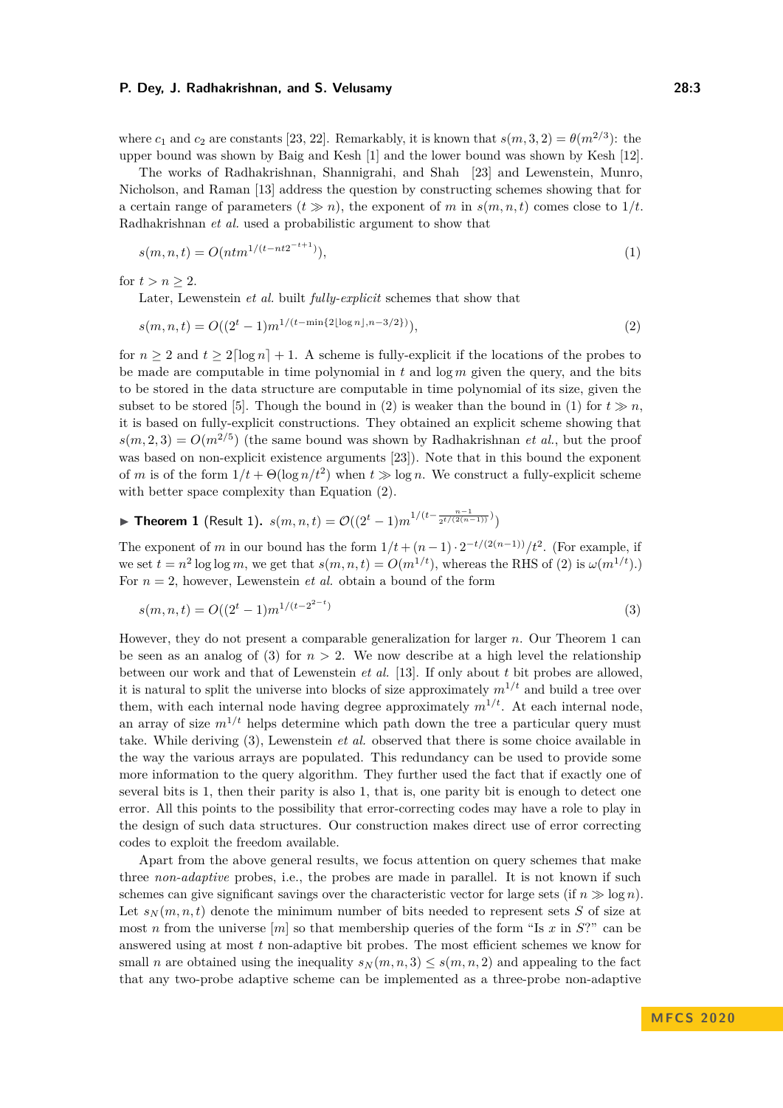where  $c_1$  and  $c_2$  are constants [\[23,](#page-11-7) [22\]](#page-11-8). Remarkably, it is known that  $s(m, 3, 2) = \theta(m^{2/3})$ : the upper bound was shown by Baig and Kesh [\[1\]](#page-10-4) and the lower bound was shown by Kesh [\[12\]](#page-11-9).

The works of Radhakrishnan, Shannigrahi, and Shah [\[23\]](#page-11-7) and Lewenstein, Munro, Nicholson, and Raman [\[13\]](#page-11-10) address the question by constructing schemes showing that for a certain range of parameters  $(t \gg n)$ , the exponent of *m* in  $s(m, n, t)$  comes close to  $1/t$ . Radhakrishnan *et al.* used a probabilistic argument to show that

<span id="page-2-1"></span>
$$
s(m, n, t) = O(ntm^{1/(t - nt2^{-t+1})}),
$$
\n(1)

for  $t > n \geq 2$ .

<span id="page-2-0"></span>Later, Lewenstein *et al.* built *fully-explicit* schemes that show that

$$
s(m, n, t) = O((2t - 1)m1/(t - \min\{2\lfloor\log n\rfloor, n - 3/2\})}),
$$
\n(2)

for  $n \geq 2$  and  $t \geq 2 \lceil \log n \rceil + 1$ . A scheme is fully-explicit if the locations of the probes to be made are computable in time polynomial in  $t$  and  $\log m$  given the query, and the bits to be stored in the data structure are computable in time polynomial of its size, given the subset to be stored [\[5\]](#page-10-2). Though the bound in [\(2\)](#page-2-0) is weaker than the bound in [\(1\)](#page-2-1) for  $t \gg n$ , it is based on fully-explicit constructions. They obtained an explicit scheme showing that  $s(m,2,3) = O(m^{2/5})$  (the same bound was shown by Radhakrishnan *et al.*, but the proof was based on non-explicit existence arguments [\[23\]](#page-11-7)). Note that in this bound the exponent of *m* is of the form  $1/t + \Theta(\log n/t^2)$  when  $t \gg \log n$ . We construct a fully-explicit scheme with better space complexity than Equation [\(2\)](#page-2-0).

<span id="page-2-2"></span>**Theorem 1** (Result 1). 
$$
s(m, n, t) = \mathcal{O}((2^t - 1)m^{1/(t - \frac{n-1}{2^{t/(2(n-1))}})})
$$

The exponent of *m* in our bound has the form  $1/t + (n-1) \cdot 2^{-t/(2(n-1))}/t^2$ . (For example, if we set  $t = n^2 \log \log m$ , we get that  $s(m, n, t) = O(m^{1/t})$ , whereas the RHS of [\(2\)](#page-2-0) is  $\omega(m^{1/t})$ .) For  $n = 2$ , however, Lewenstein *et al.* obtain a bound of the form

<span id="page-2-3"></span>
$$
s(m, n, t) = O((2^t - 1)m^{1/(t - 2^{2-t})})
$$
\n(3)

However, they do not present a comparable generalization for larger *n*. Our Theorem [1](#page-2-2) can be seen as an analog of  $(3)$  for  $n > 2$ . We now describe at a high level the relationship between our work and that of Lewenstein *et al.* [\[13\]](#page-11-10). If only about *t* bit probes are allowed, it is natural to split the universe into blocks of size approximately  $m^{1/t}$  and build a tree over them, with each internal node having degree approximately  $m^{1/t}$ . At each internal node, an array of size  $m^{1/t}$  helps determine which path down the tree a particular query must take. While deriving [\(3\)](#page-2-3), Lewenstein *et al.* observed that there is some choice available in the way the various arrays are populated. This redundancy can be used to provide some more information to the query algorithm. They further used the fact that if exactly one of several bits is 1, then their parity is also 1, that is, one parity bit is enough to detect one error. All this points to the possibility that error-correcting codes may have a role to play in the design of such data structures. Our construction makes direct use of error correcting codes to exploit the freedom available.

Apart from the above general results, we focus attention on query schemes that make three *non-adaptive* probes, i.e., the probes are made in parallel. It is not known if such schemes can give significant savings over the characteristic vector for large sets (if  $n \gg \log n$ ). Let  $s_N(m, n, t)$  denote the minimum number of bits needed to represent sets *S* of size at most *n* from the universe  $[m]$  so that membership queries of the form "Is *x* in *S*?" can be answered using at most *t* non-adaptive bit probes. The most efficient schemes we know for small *n* are obtained using the inequality  $s_N(m, n, 3) \leq s(m, n, 2)$  and appealing to the fact that any two-probe adaptive scheme can be implemented as a three-probe non-adaptive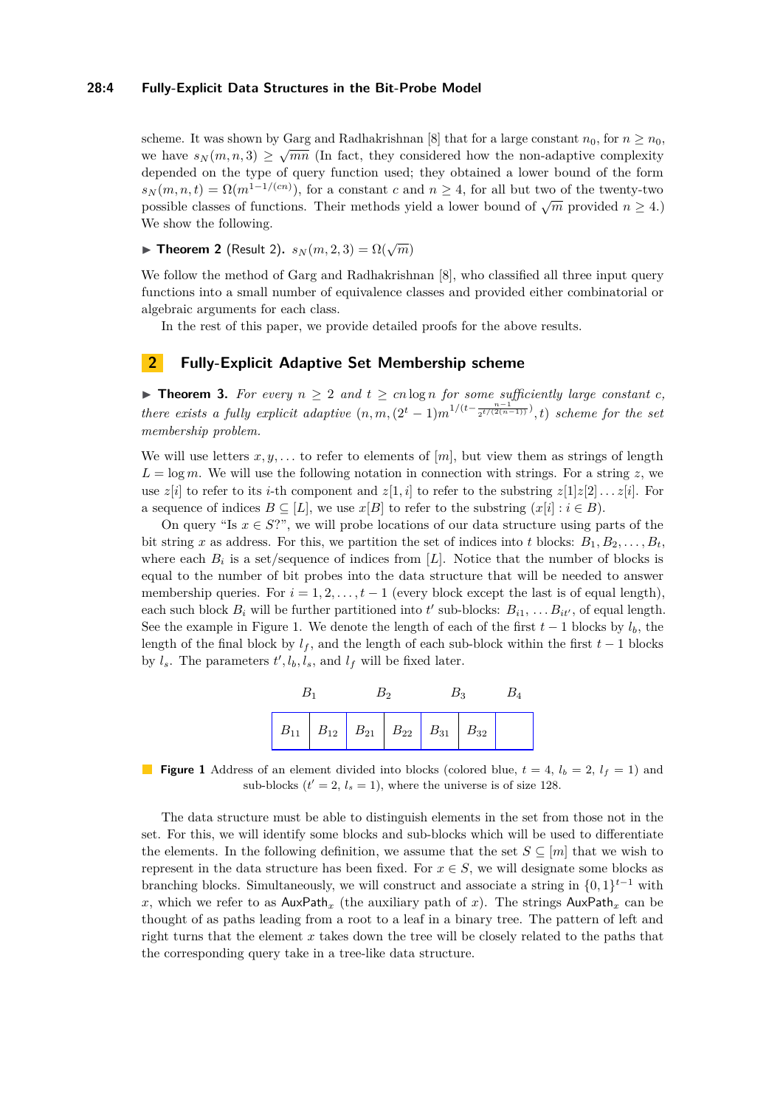## **28:4 Fully-Explicit Data Structures in the Bit-Probe Model**

scheme. It was shown by Garg and Radhakrishnan [\[8\]](#page-11-11) that for a large constant  $n_0$ , for  $n \ge n_0$ , we have  $s_N(m, n, 3) \geq \sqrt{mn}$  (In fact, they considered how the non-adaptive complexity depended on the type of query function used; they obtained a lower bound of the form  $s_N(m, n, t) = \Omega(m^{1-1/(cn)})$ , for a constant *c* and  $n \geq 4$ , for all but two of the twenty-two possible classes of functions. Their methods yield a lower bound of  $\sqrt{m}$  provided  $n \ge 4$ .) We show the following.

**Find Theorem 2** (Result 2).  $s_N(m, 2, 3) = \Omega(\sqrt{m})$ 

We follow the method of Garg and Radhakrishnan [\[8\]](#page-11-11), who classified all three input query functions into a small number of equivalence classes and provided either combinatorial or algebraic arguments for each class.

In the rest of this paper, we provide detailed proofs for the above results.

# **2 Fully-Explicit Adaptive Set Membership scheme**

▶ **Theorem 3.** For every  $n \geq 2$  and  $t \geq cn \log n$  for some sufficiently large constant  $c$ , *there exists a fully explicit adaptive*  $(n, m, (2^t-1)m^{1/(t-\frac{n-1}{2^{t/(2(n-1))}})}, t)$  *scheme for the set membership problem.*

We will use letters  $x, y, \ldots$  to refer to elements of  $[m]$ , but view them as strings of length  $L = \log m$ . We will use the following notation in connection with strings. For a string *z*, we use  $z[i]$  to refer to its *i*-th component and  $z[1,i]$  to refer to the substring  $z[1]z[2] \ldots z[i]$ . For a sequence of indices  $B \subseteq [L]$ , we use  $x[B]$  to refer to the substring  $(x[i] : i \in B)$ .

On query "Is  $x \in S$ ?", we will probe locations of our data structure using parts of the bit string *x* as address. For this, we partition the set of indices into *t* blocks:  $B_1, B_2, \ldots, B_t$ where each  $B_i$  is a set/sequence of indices from  $[L]$ . Notice that the number of blocks is equal to the number of bit probes into the data structure that will be needed to answer membership queries. For  $i = 1, 2, \ldots, t - 1$  (every block except the last is of equal length), each such block  $B_i$  will be further partitioned into  $t'$  sub-blocks:  $B_{i1}, \ldots B_{it'}$ , of equal length. See the example in Figure [1.](#page-3-0) We denote the length of each of the first  $t-1$  blocks by  $l_b$ , the length of the final block by  $l_f$ , and the length of each sub-block within the first  $t-1$  blocks by  $l_s$ . The parameters  $t', l_b, l_s$ , and  $l_f$  will be fixed later.



<span id="page-3-0"></span>**Figure 1** Address of an element divided into blocks (colored blue,  $t = 4$ ,  $l_b = 2$ ,  $l_f = 1$ ) and sub-blocks  $(t' = 2, l_s = 1)$ , where the universe is of size 128.

The data structure must be able to distinguish elements in the set from those not in the set. For this, we will identify some blocks and sub-blocks which will be used to differentiate the elements. In the following definition, we assume that the set  $S \subseteq [m]$  that we wish to represent in the data structure has been fixed. For  $x \in S$ , we will designate some blocks as branching blocks. Simultaneously, we will construct and associate a string in  $\{0,1\}^{t-1}$  with x, which we refer to as  $\text{AuxPath}_x$  (the auxiliary path of x). The strings  $\text{AuxPath}_x$  can be thought of as paths leading from a root to a leaf in a binary tree. The pattern of left and right turns that the element *x* takes down the tree will be closely related to the paths that the corresponding query take in a tree-like data structure.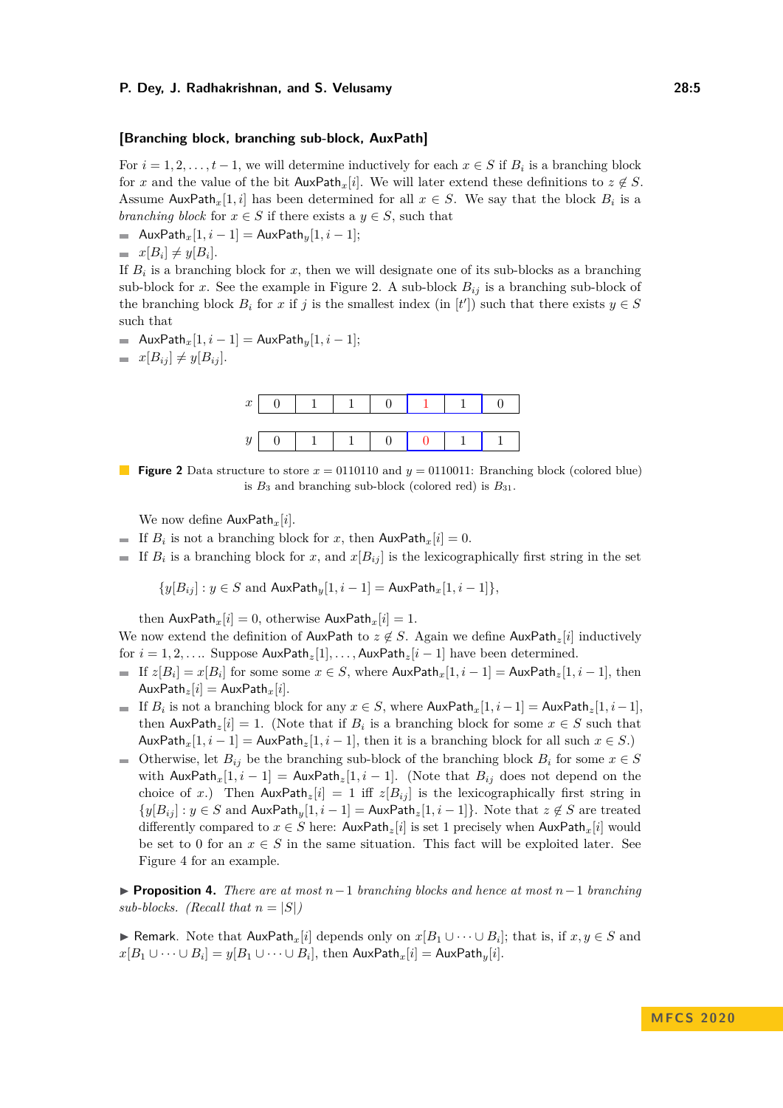#### **[Branching block, branching sub-block, AuxPath]**

For  $i = 1, 2, \ldots, t-1$ , we will determine inductively for each  $x \in S$  if  $B_i$  is a branching block for *x* and the value of the bit  $\text{AuxPath}_x[i]$ . We will later extend these definitions to  $z \notin S$ . Assume AuxPath<sub>x</sub>[1, *i*] has been determined for all  $x \in S$ . We say that the block  $B_i$  is a *branching block* for  $x \in S$  if there exists a  $y \in S$ , such that

 $\blacksquare$  AuxPath<sub>*x*</sub>[1*, i* − 1] = AuxPath<sub>*y*</sub>[1*, i* − 1];

$$
= x[B_i] \neq y[B_i].
$$

If  $B_i$  is a branching block for  $x$ , then we will designate one of its sub-blocks as a branching sub-block for *x*. See the example in Figure [2.](#page-4-0) A sub-block  $B_{ij}$  is a branching sub-block of the branching block  $B_i$  for  $x$  if  $j$  is the smallest index (in  $[t']$ ) such that there exists  $y \in S$ such that

■ AuxPath<sub>*x*</sub>[1*, i* − 1] = AuxPath<sub>*y*</sub>[1*, i* − 1];

<span id="page-4-0"></span>
$$
= x[B_{ij}] \neq y[B_{ij}].
$$



**Figure 2** Data structure to store  $x = 0110110$  and  $y = 0110011$ : Branching block (colored blue) is  $B_3$  and branching sub-block (colored red) is  $B_{31}$ .

We now define AuxPath*x*[*i*].

- If  $B_i$  is not a branching block for *x*, then  $\text{AuxPath}_x[i] = 0$ .
- If  $B_i$  is a branching block for *x*, and  $x[B_{ij}]$  is the lexicographically first string in the set

$$
\{y[B_{ij}]: y \in S \text{ and } \mathsf{AuxPath}_y[1, i-1] = \mathsf{AuxPath}_x[1, i-1]\},\
$$

then  $\text{AuxPath}_x[i] = 0$ , otherwise  $\text{AuxPath}_x[i] = 1$ .

We now extend the definition of AuxPath to  $z \notin S$ . Again we define AuxPath<sub>z</sub>[*i*] inductively for  $i = 1, 2, \ldots$  Suppose  $\text{AuxPath}_z[1], \ldots, \text{AuxPath}_z[i-1]$  have been determined.

- If  $z[B_i] = x[B_i]$  for some some  $x \in S$ , where  $\textsf{AuxPath}_x[1,i-1] = \textsf{AuxPath}_z[1,i-1]$ , then  $AuxPath_z[i] = AuxPath_x[i].$
- If  $B_i$  is not a branching block for any  $x \in S$ , where  $\textsf{AuxPath}_x[1,i-1] = \textsf{AuxPath}_z[1,i-1]$ , then  $\text{AuxPath}_z[i] = 1$ . (Note that if  $B_i$  is a branching block for some  $x \in S$  such that  $\text{AuxPath}_x[1, i-1] = \text{AuxPath}_z[1, i-1]$ , then it is a branching block for all such  $x \in S$ .)
- Otherwise, let  $B_{ij}$  be the branching sub-block of the branching block  $B_i$  for some  $x \in S$ with  $\text{AuxPath}_x[1, i-1] = \text{AuxPath}_z[1, i-1]$ . (Note that  $B_{ij}$  does not depend on the choice of *x*.) Then  $\text{AuxPath}_z[i] = 1$  iff  $z[B_{ij}]$  is the lexicographically first string in  $\{y[B_{ij}] : y \in S \text{ and } \text{AuxPath}_y[1, i-1] = \text{AuxPath}_z[1, i-1] \}$ . Note that  $z \notin S$  are treated differently compared to  $x \in S$  here:  $\text{AuxPath}_z[i]$  is set 1 precisely when  $\text{AuxPath}_x[i]$  would be set to 0 for an  $x \in S$  in the same situation. This fact will be exploited later. See Figure [4](#page-7-0) for an example.

I **Proposition 4.** *There are at most n*−1 *branching blocks and hence at most n*−1 *branching sub-blocks.* (*Recall that*  $n = |S|$ )

**► Remark.** Note that  $\text{AuxPath}_x[i]$  depends only on  $x[B_1 \cup \cdots \cup B_i]$ ; that is, if  $x, y \in S$  and  $x[B_1 \cup \cdots \cup B_i] = y[B_1 \cup \cdots \cup B_i], \text{ then } \mathsf{AuxPath}_x[i] = \mathsf{AuxPath}_y[i].$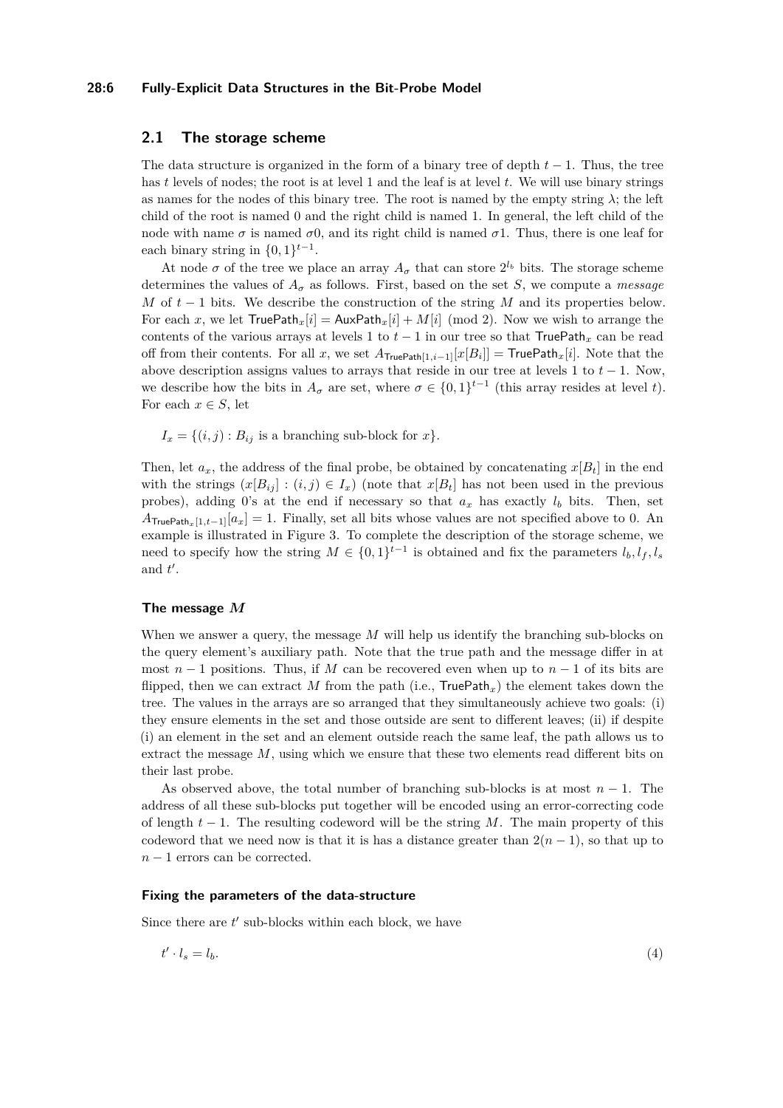## **28:6 Fully-Explicit Data Structures in the Bit-Probe Model**

# **2.1 The storage scheme**

The data structure is organized in the form of a binary tree of depth *t* − 1. Thus, the tree has *t* levels of nodes; the root is at level 1 and the leaf is at level *t*. We will use binary strings as names for the nodes of this binary tree. The root is named by the empty string *λ*; the left child of the root is named 0 and the right child is named 1. In general, the left child of the node with name  $\sigma$  is named  $\sigma$ 0, and its right child is named  $\sigma$ 1. Thus, there is one leaf for each binary string in  $\{0,1\}^{t-1}$ .

At node  $\sigma$  of the tree we place an array  $A_{\sigma}$  that can store  $2^{l_b}$  bits. The storage scheme determines the values of  $A_{\sigma}$  as follows. First, based on the set *S*, we compute a *message M* of *t* − 1 bits. We describe the construction of the string *M* and its properties below. For each *x*, we let  $TruePath_x[i] = AuxPath_x[i] + M[i] \pmod{2}$ . Now we wish to arrange the contents of the various arrays at levels 1 to  $t-1$  in our tree so that TruePath<sub>x</sub> can be read off from their contents. For all *x*, we set  $A_{\text{TruePath}[1,i-1]}[x[B_i]] = \text{TruePath}_x[i]$ . Note that the above description assigns values to arrays that reside in our tree at levels 1 to  $t - 1$ . Now, we describe how the bits in  $A_{\sigma}$  are set, where  $\sigma \in \{0,1\}^{t-1}$  (this array resides at level *t*). For each  $x \in S$ , let

 $I_x = \{(i, j) : B_{ij}$  is a branching sub-block for  $x\}$ .

Then, let  $a_x$ , the address of the final probe, be obtained by concatenating  $x[B_t]$  in the end with the strings  $(x[B_{ij}] : (i,j) \in I_x)$  (note that  $x[B_t]$  has not been used in the previous probes), adding 0's at the end if necessary so that  $a_x$  has exactly  $l_b$  bits. Then, set  $A_{\text{TruePath}_x[1,t-1]}[a_x] = 1$ . Finally, set all bits whose values are not specified above to 0. An example is illustrated in Figure [3.](#page-7-1) To complete the description of the storage scheme, we need to specify how the string  $M \in \{0,1\}^{t-1}$  is obtained and fix the parameters  $l_b, l_f, l_s$ and  $t'$ .

## <span id="page-5-1"></span>**The message** *M*

When we answer a query, the message M will help us identify the branching sub-blocks on the query element's auxiliary path. Note that the true path and the message differ in at most  $n-1$  positions. Thus, if M can be recovered even when up to  $n-1$  of its bits are flipped, then we can extract M from the path (i.e.,  $TruePath<sub>x</sub>$ ) the element takes down the tree. The values in the arrays are so arranged that they simultaneously achieve two goals: (i) they ensure elements in the set and those outside are sent to different leaves; (ii) if despite (i) an element in the set and an element outside reach the same leaf, the path allows us to extract the message *M*, using which we ensure that these two elements read different bits on their last probe.

As observed above, the total number of branching sub-blocks is at most *n* − 1. The address of all these sub-blocks put together will be encoded using an error-correcting code of length *t* − 1. The resulting codeword will be the string *M*. The main property of this codeword that we need now is that it is has a distance greater than  $2(n-1)$ , so that up to *n* − 1 errors can be corrected.

## **Fixing the parameters of the data-structure**

Since there are  $t'$  sub-blocks within each block, we have

<span id="page-5-0"></span>
$$
t' \cdot l_s = l_b. \tag{4}
$$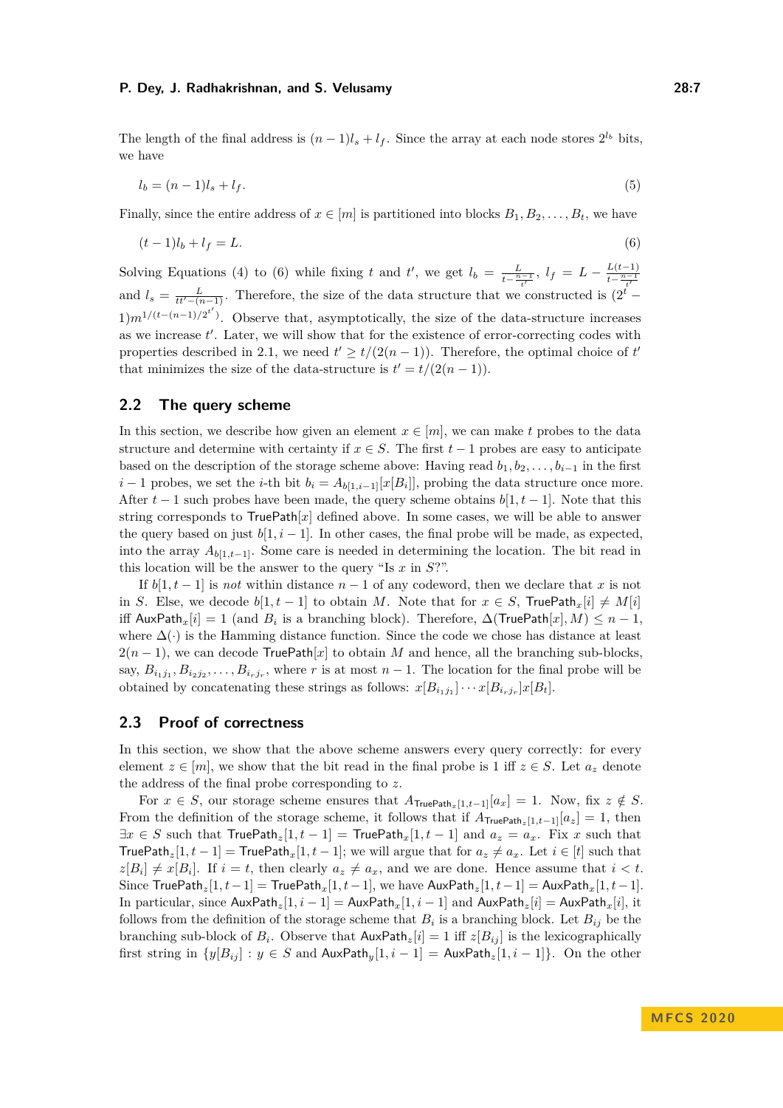The length of the final address is  $(n-1)l_s + l_f$ . Since the array at each node stores  $2^{l_b}$  bits, we have

<span id="page-6-0"></span>
$$
l_b = (n-1)l_s + l_f. \tag{5}
$$

Finally, since the entire address of  $x \in [m]$  is partitioned into blocks  $B_1, B_2, \ldots, B_t$ , we have

$$
(t-1)l_b + l_f = L.\t\t(6)
$$

Solving Equations [\(4\)](#page-5-0) to [\(6\)](#page-6-0) while fixing *t* and *t'*, we get  $l_b = \frac{L}{l_b - n}$  $\frac{L}{t - \frac{n-1}{t'}}, \ l_f = L - \frac{L(t-1)}{t - \frac{n-1}{t'}}$  $t-\frac{n-1}{t'}$ and  $l_s = \frac{L}{tt'-(n-1)}$ . Therefore, the size of the data structure that we constructed is  $(2^t 1)m^{1/(t-(n-1)/2^{t'})}$ . Observe that, asymptotically, the size of the data-structure increases as we increase  $t'$ . Later, we will show that for the existence of error-correcting codes with properties described in [2.1,](#page-5-1) we need  $t' \ge t/(2(n-1))$ . Therefore, the optimal choice of  $t'$ that minimizes the size of the data-structure is  $t' = t/(2(n-1))$ .

# **2.2 The query scheme**

In this section, we describe how given an element  $x \in [m]$ , we can make t probes to the data structure and determine with certainty if  $x \in S$ . The first  $t-1$  probes are easy to anticipate based on the description of the storage scheme above: Having read  $b_1, b_2, \ldots, b_{i-1}$  in the first *i* − 1 probes, we set the *i*-th bit  $b_i = A_{b[1,i-1]}[x[B_i]]$ , probing the data structure once more. After  $t-1$  such probes have been made, the query scheme obtains  $b[1, t-1]$ . Note that this string corresponds to  $TruePath[x]$  defined above. In some cases, we will be able to answer the query based on just  $b[1, i - 1]$ . In other cases, the final probe will be made, as expected, into the array  $A_{b[1,t-1]}$ . Some care is needed in determining the location. The bit read in this location will be the answer to the query "Is *x* in *S*?".

If  $b[1, t-1]$  is *not* within distance  $n-1$  of any codeword, then we declare that *x* is not in *S*. Else, we decode  $b[1,t-1]$  to obtain *M*. Note that for  $x \in S$ , TruePath<sub>x</sub>[*i*]  $\neq M[i]$ iff  $\mathsf{AuxPath}_x[i] = 1$  (and  $B_i$  is a branching block). Therefore,  $\Delta(\mathsf{TruePath}[x], M) \leq n - 1$ , where  $\Delta(\cdot)$  is the Hamming distance function. Since the code we chose has distance at least  $2(n-1)$ , we can decode TruePath[x] to obtain M and hence, all the branching sub-blocks, say,  $B_{i_1j_1}, B_{i_2j_2}, \ldots, B_{i_rj_r}$ , where *r* is at most  $n-1$ . The location for the final probe will be obtained by concatenating these strings as follows:  $x[B_{i_1j_1}] \cdots x[B_{i_rj_r}]x[B_t]$ .

## **2.3 Proof of correctness**

In this section, we show that the above scheme answers every query correctly: for every element  $z \in [m]$ , we show that the bit read in the final probe is 1 iff  $z \in S$ . Let  $a_z$  denote the address of the final probe corresponding to *z*.

For  $x \in S$ , our storage scheme ensures that  $A_{\text{TruePath}_x[1,t-1]}[a_x] = 1$ . Now, fix  $z \notin S$ . From the definition of the storage scheme, it follows that if  $A_{\text{TruePath},[1,t-1]}[a_z] = 1$ , then  $\exists x \in S$  such that  $\mathsf{TruePath}_z[1, t-1] = \mathsf{TruePath}_x[1, t-1]$  and  $a_z = a_x$ . Fix *x* such that TruePath<sub>z</sub>[1*, t* − 1] = TruePath<sub>x</sub>[1*, t* − 1]; we will argue that for  $a_z \neq a_x$ . Let  $i \in [t]$  such that  $z[B_i] \neq x[B_i]$ . If  $i = t$ , then clearly  $a_z \neq a_x$ , and we are done. Hence assume that  $i < t$ . Since  $\text{TruePath}_z[1, t-1] = \text{TruePath}_x[1, t-1]$ , we have  $\text{AuxPath}_z[1, t-1] = \text{AuxPath}_x[1, t-1]$ . In particular, since  $\text{AuxPath}_z[1, i-1] = \text{AuxPath}_x[1, i-1]$  and  $\text{AuxPath}_z[i] = \text{AuxPath}_x[i]$ , it follows from the definition of the storage scheme that  $B_i$  is a branching block. Let  $B_{ij}$  be the branching sub-block of  $B_i$ . Observe that  $\text{AuxPath}_z[i] = 1$  iff  $z[B_{ij}]$  is the lexicographically first string in  $\{y[B_{ij}] : y \in S \text{ and } \text{AuxPath}_y[1, i-1] = \text{AuxPath}_z[1, i-1] \}.$  On the other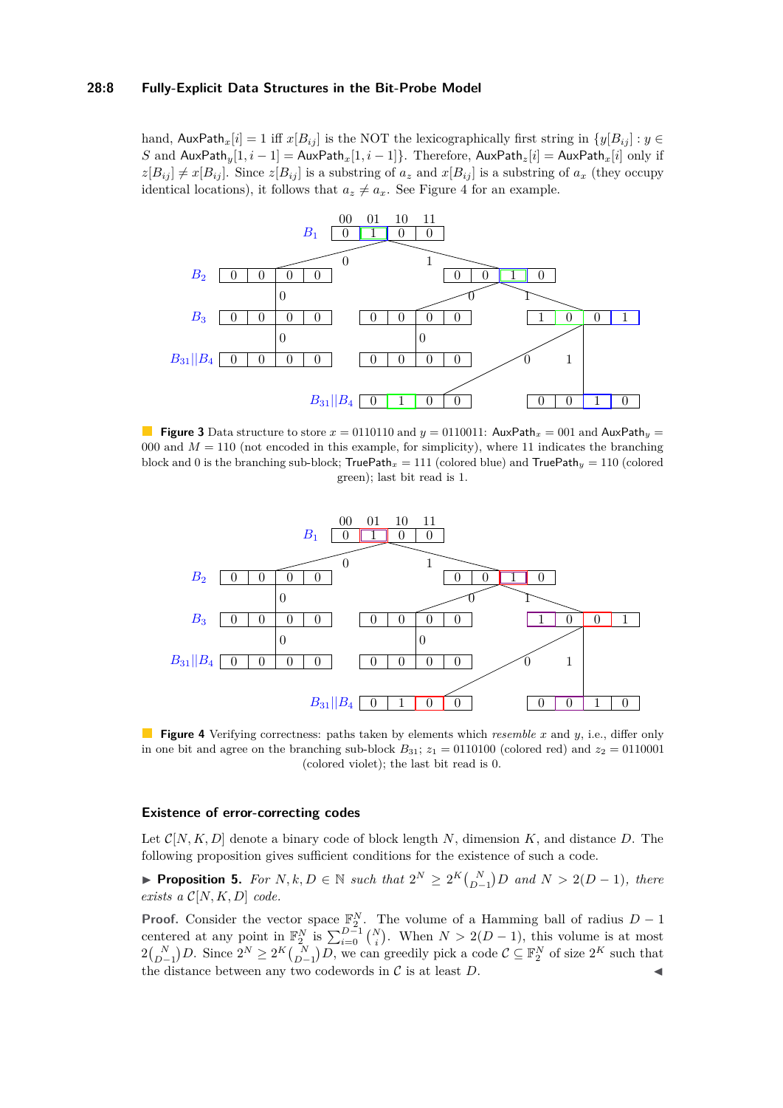#### **28:8 Fully-Explicit Data Structures in the Bit-Probe Model**

hand,  $\text{AuxPath}_x[i] = 1$  iff  $x[B_{ij}]$  is the NOT the lexicographically first string in  $\{y[B_{ij}] : y \in$ *S* and  $\text{AuxPath}_y[1, i-1] = \text{AuxPath}_x[1, i-1]$ . Therefore,  $\text{AuxPath}_z[i] = \text{AuxPath}_x[i]$  only if  $z[B_{ij}] \neq x[B_{ij}]$ . Since  $z[B_{ij}]$  is a substring of  $a_z$  and  $x[B_{ij}]$  is a substring of  $a_x$  (they occupy identical locations), it follows that  $a_z \neq a_x$ . See Figure [4](#page-7-0) for an example.

<span id="page-7-1"></span>

**Figure 3** Data structure to store  $x = 0110110$  and  $y = 0110011$ : AuxPath<sub>x</sub> = 001 and AuxPath<sub>y</sub> = 000 and  $M = 110$  (not encoded in this example, for simplicity), where 11 indicates the branching block and 0 is the branching sub-block;  $TruePath_x = 111$  (colored blue) and  $TruePath_y = 110$  (colored green); last bit read is 1.

<span id="page-7-0"></span>

**Figure 4** Verifying correctness: paths taken by elements which *resemble x* and *y*, i.e., differ only in one bit and agree on the branching sub-block  $B_{31}$ ;  $z_1 = 0110100$  (colored red) and  $z_2 = 0110001$ (colored violet); the last bit read is 0.

## **Existence of error-correcting codes**

Let  $\mathcal{C}[N, K, D]$  denote a binary code of block length N, dimension K, and distance D. The following proposition gives sufficient conditions for the existence of such a code.

<span id="page-7-2"></span>▶ **Proposition 5.** For  $N, k, D \in \mathbb{N}$  such that  $2^N \geq 2^K {N \choose D-1} D$  and  $N > 2(D-1)$ , there *exists a* C[*N, K, D*] *code.*

**Proof.** Consider the vector space  $\mathbb{F}_2^N$ . The volume of a Hamming ball of radius *D* − 1 centered at any point in  $\mathbb{F}_2^N$  is  $\sum_{i=0}^{D-1} {N \choose i}$ . When  $N > 2(D-1)$ , this volume is at most  $2\binom{N}{D-1}D$ . Since  $2^N \ge 2^K \binom{N}{D-1}D$ , we can greedily pick a code  $\mathcal{C} \subseteq \mathbb{F}_2^N$  of size  $2^K$  such that the distance between any two codewords in  $C$  is at least  $D$ .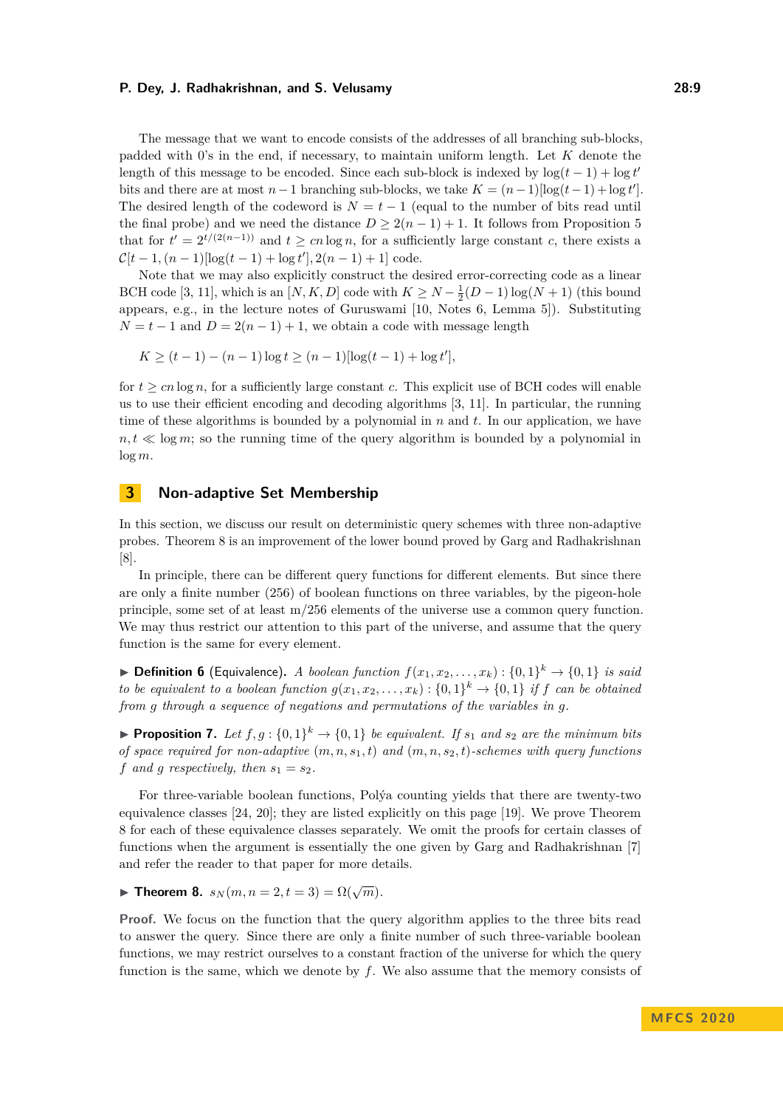The message that we want to encode consists of the addresses of all branching sub-blocks, padded with 0's in the end, if necessary, to maintain uniform length. Let *K* denote the length of this message to be encoded. Since each sub-block is indexed by  $\log(t-1) + \log t'$ bits and there are at most  $n-1$  branching sub-blocks, we take  $K = (n-1)[\log(t-1) + \log t']$ . The desired length of the codeword is  $N = t - 1$  (equal to the number of bits read until the final probe) and we need the distance  $D > 2(n-1) + 1$ . It follows from Proposition [5](#page-7-2) that for  $t' = 2^{t/(2(n-1))}$  and  $t \geq cn \log n$ , for a sufficiently large constant *c*, there exists a  $\mathcal{C}[t-1,(n-1)|\log(t-1)+\log t'|, 2(n-1)+1]$  code.

Note that we may also explicitly construct the desired error-correcting code as a linear BCH code [\[3,](#page-10-5) [11\]](#page-11-12), which is an  $[N, K, D]$  code with  $K \ge N - \frac{1}{2}(D - 1)\log(N + 1)$  (this bound appears, e.g., in the lecture notes of Guruswami [\[10,](#page-11-13) Notes 6, Lemma 5]). Substituting  $N = t - 1$  and  $D = 2(n - 1) + 1$ , we obtain a code with message length

$$
K \ge (t-1) - (n-1)\log t \ge (n-1)\log(t-1) + \log t',
$$

for  $t > cn \log n$ , for a sufficiently large constant *c*. This explicit use of BCH codes will enable us to use their efficient encoding and decoding algorithms [\[3,](#page-10-5) [11\]](#page-11-12). In particular, the running time of these algorithms is bounded by a polynomial in *n* and *t*. In our application, we have  $n, t \ll \log m$ ; so the running time of the query algorithm is bounded by a polynomial in log *m*.

# **3 Non-adaptive Set Membership**

In this section, we discuss our result on deterministic query schemes with three non-adaptive probes. Theorem [8](#page-8-0) is an improvement of the lower bound proved by Garg and Radhakrishnan [\[8\]](#page-11-11).

In principle, there can be different query functions for different elements. But since there are only a finite number (256) of boolean functions on three variables, by the pigeon-hole principle, some set of at least m/256 elements of the universe use a common query function. We may thus restrict our attention to this part of the universe, and assume that the query function is the same for every element.

▶ **Definition 6** (Equivalence). *A boolean function*  $f(x_1, x_2, ..., x_k) : \{0, 1\}^k \rightarrow \{0, 1\}$  *is said to be equivalent to a boolean function*  $g(x_1, x_2, \ldots, x_k) : \{0,1\}^k \to \{0,1\}$  *if f can be obtained from g through a sequence of negations and permutations of the variables in g.*

**• Proposition 7.** Let  $f, g: \{0, 1\}^k \to \{0, 1\}$  be equivalent. If  $s_1$  and  $s_2$  are the minimum bits *of space required for non-adaptive* (*m, n, s*1*, t*) *and* (*m, n, s*2*, t*)*-schemes with query functions f* and *g* respectively, then  $s_1 = s_2$ .

For three-variable boolean functions, Polýa counting yields that there are twenty-two equivalence classes [\[24,](#page-11-14) [20\]](#page-11-15); they are listed explicitly on this page [\[19\]](#page-11-16). We prove Theorem [8](#page-8-0) for each of these equivalence classes separately. We omit the proofs for certain classes of functions when the argument is essentially the one given by Garg and Radhakrishnan [\[7\]](#page-10-6) and refer the reader to that paper for more details.

<span id="page-8-0"></span>**Find Theorem 8.**  $s_N(m, n = 2, t = 3) = \Omega(\sqrt{m}).$ 

**Proof.** We focus on the function that the query algorithm applies to the three bits read to answer the query. Since there are only a finite number of such three-variable boolean functions, we may restrict ourselves to a constant fraction of the universe for which the query function is the same, which we denote by *f*. We also assume that the memory consists of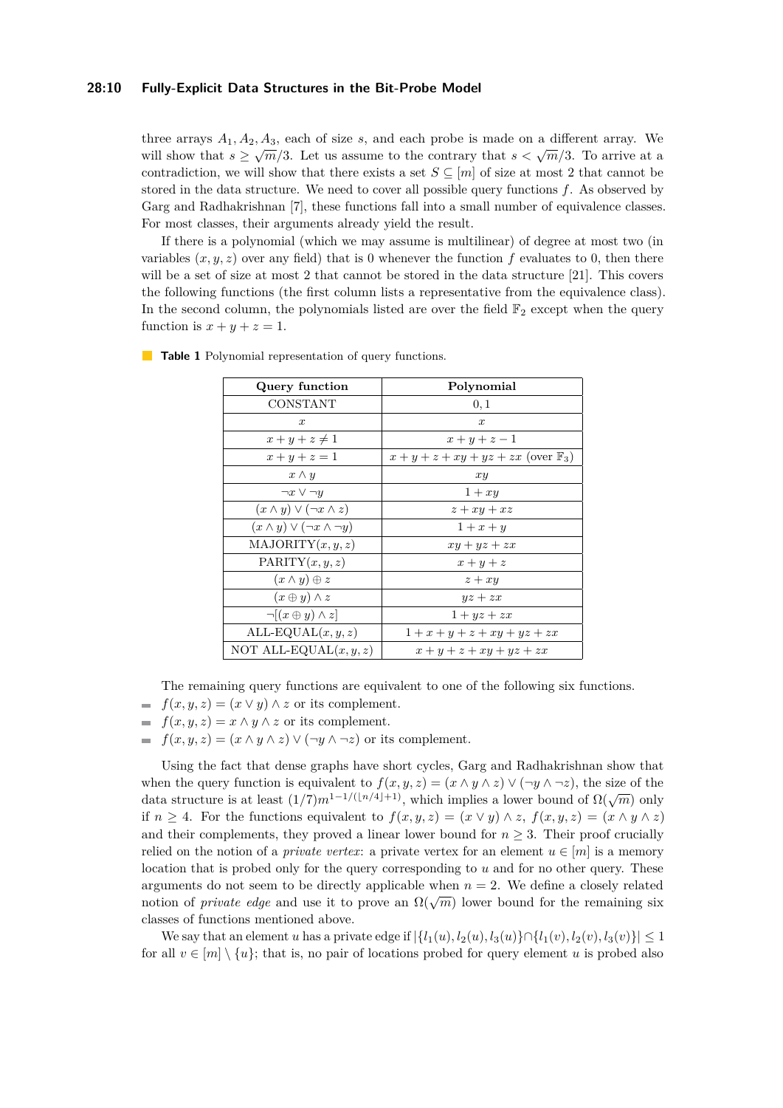## **28:10 Fully-Explicit Data Structures in the Bit-Probe Model**

three arrays  $A_1, A_2, A_3$ , each of size *s*, and each probe is made on a different array. We will show that  $s \ge \sqrt{m}/3$ . Let us assume to the contrary that  $s < \sqrt{m}/3$ . To arrive at a contradiction, we will show that there exists a set  $S \subseteq [m]$  of size at most 2 that cannot be stored in the data structure. We need to cover all possible query functions *f*. As observed by Garg and Radhakrishnan [\[7\]](#page-10-6), these functions fall into a small number of equivalence classes. For most classes, their arguments already yield the result.

If there is a polynomial (which we may assume is multilinear) of degree at most two (in variables  $(x, y, z)$  over any field) that is 0 whenever the function f evaluates to 0, then there will be a set of size at most 2 that cannot be stored in the data structure [\[21\]](#page-11-17). This covers the following functions (the first column lists a representative from the equivalence class). In the second column, the polynomials listed are over the field  $\mathbb{F}_2$  except when the query function is  $x + y + z = 1$ .

| Query function                             | Polynomial                                        |
|--------------------------------------------|---------------------------------------------------|
| CONSTANT                                   | 0,1                                               |
| $\boldsymbol{x}$                           | $\boldsymbol{x}$                                  |
| $x+y+z\neq 1$                              | $x+y+z-1$                                         |
| $x + y + z = 1$                            | $x + y + z + xy + yz + zx$ (over $\mathbb{F}_3$ ) |
| $x \wedge y$                               | xy                                                |
| $\neg x \vee \neg y$                       | $1+xy$                                            |
| $(x \wedge y) \vee (\neg x \wedge z)$      | $z + xy + xz$                                     |
| $(x \wedge y) \vee (\neg x \wedge \neg y)$ | $1+x+y$                                           |
| MAJORITY(x, y, z)                          | $xy + yz + zx$                                    |
| PARITY $(x, y, z)$                         | $x+y+z$                                           |
| $(x \wedge y) \oplus z$                    | $z + xy$                                          |
| $(x \oplus y) \wedge z$                    | $yz + zx$                                         |
| $\neg[(x \oplus y) \wedge z]$              | $1+yz+zx$                                         |
| ALL-EQUAL $(x, y, z)$                      | $1+x+y+z+xy+yz+zx$                                |
| NOT ALL-EQUAL $(x, y, z)$                  | $x+y+z+xy+yz+zx$                                  |

**Table 1** Polynomial representation of query functions.

The remaining query functions are equivalent to one of the following six functions.

- $f(x, y, z) = (x \lor y) \land z$  or its complement.
- $f(x, y, z) = x \land y \land z$  or its complement.
- $\equiv$  $f(x, y, z) = (x \wedge y \wedge z) \vee (\neg y \wedge \neg z)$  or its complement.

Using the fact that dense graphs have short cycles, Garg and Radhakrishnan show that when the query function is equivalent to  $f(x, y, z) = (x \wedge y \wedge z) \vee (\neg y \wedge \neg z)$ , the size of the when the query function is equivalent to  $f(x, y, z) = (x \wedge y \wedge z) \vee (y \wedge z)$ , the size of the data structure is at least  $(1/7)m^{1-1/([n/4]+1)}$ , which implies a lower bound of  $\Omega(\sqrt{m})$  only if *n*  $\geq$  4. For the functions equivalent to  $f(x, y, z) = (x \vee y) \wedge z$ ,  $f(x, y, z) = (x \wedge y \wedge z)$ and their complements, they proved a linear lower bound for  $n \geq 3$ . Their proof crucially relied on the notion of a *private vertex*: a private vertex for an element  $u \in [m]$  is a memory location that is probed only for the query corresponding to *u* and for no other query. These arguments do not seem to be directly applicable when  $n = 2$ . We define a closely related notion of *private edge* and use it to prove an  $\Omega(\sqrt{m})$  lower bound for the remaining six classes of functions mentioned above.

We say that an element *u* has a private edge if  $\{l_1(u), l_2(u), l_3(u)\} \cap \{l_1(v), l_2(v), l_3(v)\} \leq 1$ for all  $v \in [m] \setminus \{u\}$ ; that is, no pair of locations probed for query element *u* is probed also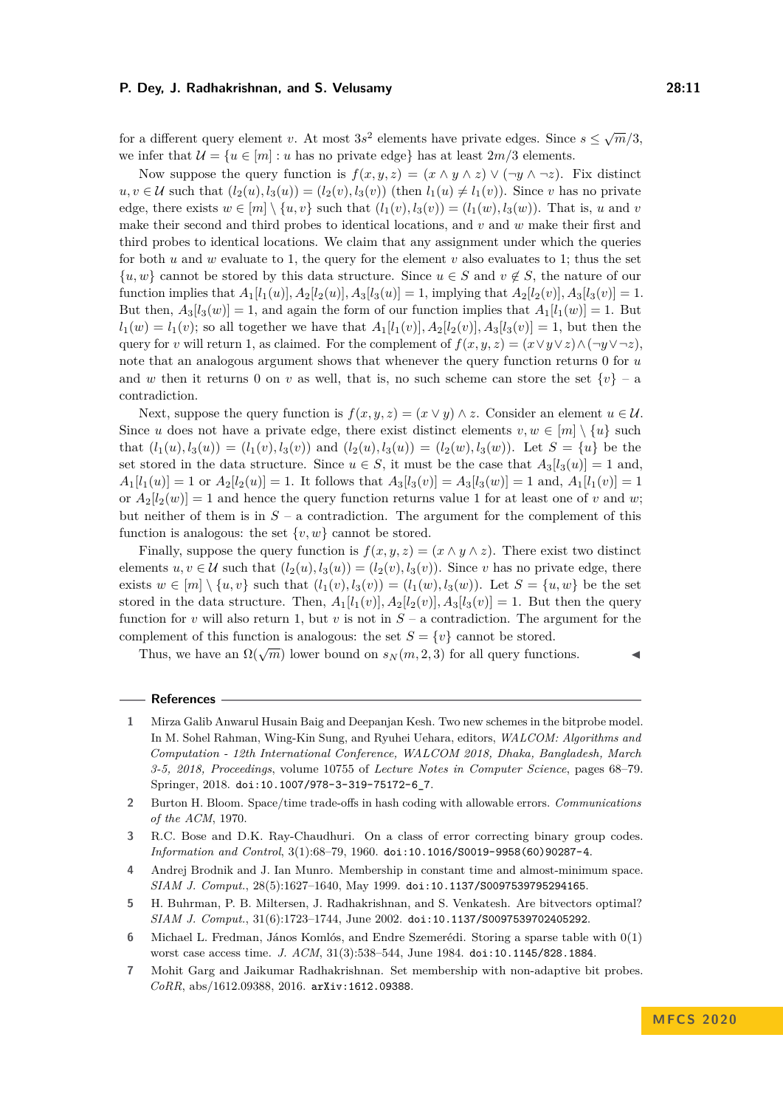for a different query element *v*. At most  $3s^2$  elements have private edges. Since  $s \leq \sqrt{m}/3$ , we infer that  $\mathcal{U} = \{u \in [m] : u \text{ has no private edge}\}\$  has at least  $2m/3$  elements.

Now suppose the query function is  $f(x, y, z) = (x \wedge y \wedge z) \vee (\neg y \wedge \neg z)$ . Fix distinct  $u, v \in \mathcal{U}$  such that  $(l_2(u), l_3(u)) = (l_2(v), l_3(v))$  (then  $l_1(u) \neq l_1(v)$ ). Since *v* has no private edge, there exists  $w \in [m] \setminus \{u, v\}$  such that  $(l_1(v), l_3(v)) = (l_1(w), l_3(w))$ . That is, *u* and *v* make their second and third probes to identical locations, and *v* and *w* make their first and third probes to identical locations. We claim that any assignment under which the queries for both  $u$  and  $w$  evaluate to 1, the query for the element  $v$  also evaluates to 1; thus the set  $\{u, w\}$  cannot be stored by this data structure. Since  $u \in S$  and  $v \notin S$ , the nature of our function implies that  $A_1[l_1(u)]$ ,  $A_2[l_2(u)]$ ,  $A_3[l_3(u)] = 1$ , implying that  $A_2[l_2(v)]$ ,  $A_3[l_3(v)] = 1$ . But then,  $A_3[i_3(w)] = 1$ , and again the form of our function implies that  $A_1[i_1(w)] = 1$ . But  $l_1(w) = l_1(v)$ ; so all together we have that  $A_1[l_1(v)]$ ,  $A_2[l_2(v)]$ ,  $A_3[l_3(v)] = 1$ , but then the query for *v* will return 1, as claimed. For the complement of  $f(x, y, z) = (x \vee y \vee z) \wedge (\neg y \vee \neg z)$ , note that an analogous argument shows that whenever the query function returns 0 for *u* and *w* then it returns 0 on *v* as well, that is, no such scheme can store the set  $\{v\}$  – a contradiction.

Next, suppose the query function is  $f(x, y, z) = (x \vee y) \wedge z$ . Consider an element  $u \in \mathcal{U}$ . Since *u* does not have a private edge, there exist distinct elements  $v, w \in [m] \setminus \{u\}$  such that  $(l_1(u), l_3(u)) = (l_1(v), l_3(v))$  and  $(l_2(u), l_3(u)) = (l_2(w), l_3(w))$ . Let  $S = \{u\}$  be the set stored in the data structure. Since  $u \in S$ , it must be the case that  $A_3[l_3(u)] = 1$  and,  $A_1[l_1(u)] = 1$  or  $A_2[l_2(u)] = 1$ . It follows that  $A_3[l_3(v)] = A_3[l_3(w)] = 1$  and,  $A_1[l_1(v)] = 1$ or  $A_2[l_2(w)] = 1$  and hence the query function returns value 1 for at least one of *v* and *w*; but neither of them is in  $S - a$  contradiction. The argument for the complement of this function is analogous: the set  $\{v, w\}$  cannot be stored.

Finally, suppose the query function is  $f(x, y, z) = (x \wedge y \wedge z)$ . There exist two distinct elements  $u, v \in U$  such that  $(l_2(u), l_3(u)) = (l_2(v), l_3(v))$ . Since *v* has no private edge, there exists *w* ∈ [*m*] \ {*u, v*} such that  $(l_1(v), l_3(v)) = (l_1(w), l_3(w))$ . Let *S* = {*u, w*} be the set stored in the data structure. Then,  $A_1[l_1(v)]$ ,  $A_2[l_2(v)]$ ,  $A_3[l_3(v)] = 1$ . But then the query function for *v* will also return 1, but *v* is not in  $S - a$  contradiction. The argument for the complement of this function is analogous: the set  $S = \{v\}$  cannot be stored.

Thus, we have an  $\Omega(\sqrt{m})$  lower bound on  $s_N(m, 2, 3)$  for all query functions.

#### **References**

- <span id="page-10-4"></span>**1** Mirza Galib Anwarul Husain Baig and Deepanjan Kesh. Two new schemes in the bitprobe model. In M. Sohel Rahman, Wing-Kin Sung, and Ryuhei Uehara, editors, *WALCOM: Algorithms and Computation - 12th International Conference, WALCOM 2018, Dhaka, Bangladesh, March 3-5, 2018, Proceedings*, volume 10755 of *Lecture Notes in Computer Science*, pages 68–79. Springer, 2018. [doi:10.1007/978-3-319-75172-6\\_7](https://doi.org/10.1007/978-3-319-75172-6_7).
- <span id="page-10-3"></span>**2** Burton H. Bloom. Space/time trade-offs in hash coding with allowable errors. *Communications of the ACM*, 1970.
- <span id="page-10-5"></span>**3** R.C. Bose and D.K. Ray-Chaudhuri. On a class of error correcting binary group codes. *Information and Control*, 3(1):68–79, 1960. [doi:10.1016/S0019-9958\(60\)90287-4](https://doi.org/10.1016/S0019-9958(60)90287-4).
- <span id="page-10-1"></span>**4** Andrej Brodnik and J. Ian Munro. Membership in constant time and almost-minimum space. *SIAM J. Comput.*, 28(5):1627–1640, May 1999. [doi:10.1137/S0097539795294165](https://doi.org/10.1137/S0097539795294165).
- <span id="page-10-2"></span>**5** H. Buhrman, P. B. Miltersen, J. Radhakrishnan, and S. Venkatesh. Are bitvectors optimal? *SIAM J. Comput.*, 31(6):1723–1744, June 2002. [doi:10.1137/S0097539702405292](https://doi.org/10.1137/S0097539702405292).
- <span id="page-10-0"></span>**6** Michael L. Fredman, János Komlós, and Endre Szemerédi. Storing a sparse table with 0(1) worst case access time. *J. ACM*, 31(3):538–544, June 1984. [doi:10.1145/828.1884](https://doi.org/10.1145/828.1884).
- <span id="page-10-6"></span>**7** Mohit Garg and Jaikumar Radhakrishnan. Set membership with non-adaptive bit probes. *CoRR*, abs/1612.09388, 2016. [arXiv:1612.09388](http://arxiv.org/abs/1612.09388).